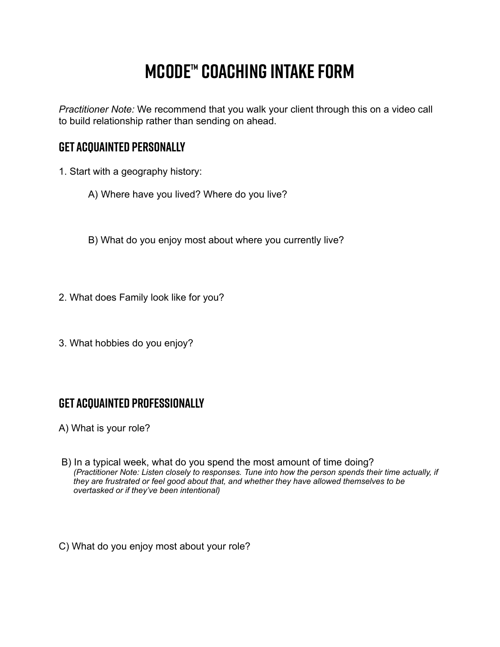# **MCODE™ Coaching Intake Form**

*Practitioner Note:* We recommend that you walk your client through this on a video call to build relationship rather than sending on ahead.

## **Get Acquainted Personally**

- 1. Start with a geography history:
	- A) Where have you lived? Where do you live?
	- B) What do you enjoy most about where you currently live?
- 2. What does Family look like for you?
- 3. What hobbies do you enjoy?

# **Get Acquainted Professionally**

A) What is your role?

 B) In a typical week, what do you spend the most amount of time doing? *(Practitioner Note: Listen closely to responses. Tune into how the person spends their time actually, if they are frustrated or feel good about that, and whether they have allowed themselves to be overtasked or if they've been intentional)* 

C) What do you enjoy most about your role?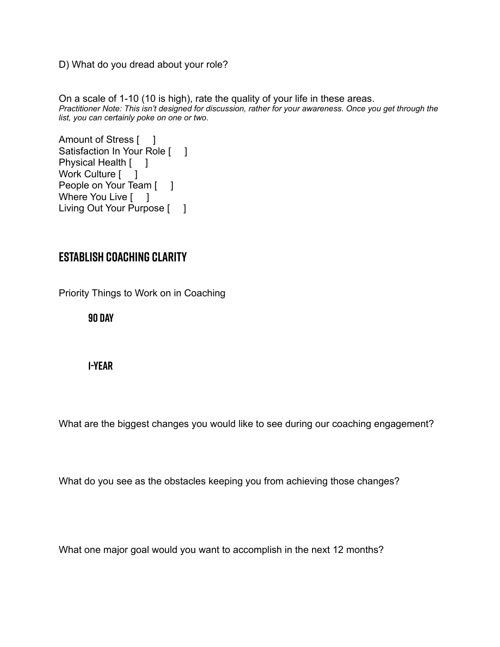D) What do you dread about your role?

On a scale of 1-10 (10 is high), rate the quality of your life in these areas. *Practitioner Note: This isn't designed for discussion, rather for your awareness. Once you get through the list, you can certainly poke on one or two.*

```
Amount of Stress [ ]
Satisfaction In Your Role [ ]
Physical Health [ ]
Work Culture [ ]
People on Your Team [ ]
Where You Live [ ]
Living Out Your Purpose [ ]
```
### **Establish Coaching Clarity**

Priority Things to Work on in Coaching

**90 DAY**

#### **1-Year**

What are the biggest changes you would like to see during our coaching engagement?

What do you see as the obstacles keeping you from achieving those changes?

What one major goal would you want to accomplish in the next 12 months?